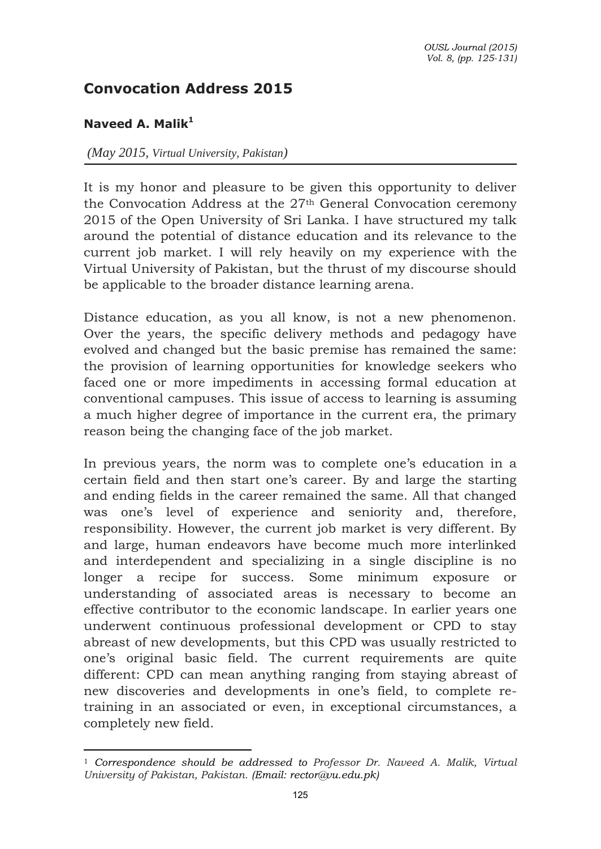## **Convocation Address 2015**

## **Naveed A. Malik<sup>1</sup>**

 $\overline{a}$ 

## *(May 2015, Virtual University, Pakistan)*

It is my honor and pleasure to be given this opportunity to deliver the Convocation Address at the 27th General Convocation ceremony 2015 of the Open University of Sri Lanka. I have structured my talk around the potential of distance education and its relevance to the current job market. I will rely heavily on my experience with the Virtual University of Pakistan, but the thrust of my discourse should be applicable to the broader distance learning arena.

Distance education, as you all know, is not a new phenomenon. Over the years, the specific delivery methods and pedagogy have evolved and changed but the basic premise has remained the same: the provision of learning opportunities for knowledge seekers who faced one or more impediments in accessing formal education at conventional campuses. This issue of access to learning is assuming a much higher degree of importance in the current era, the primary reason being the changing face of the job market.

In previous years, the norm was to complete one's education in a certain field and then start one's career. By and large the starting and ending fields in the career remained the same. All that changed was one's level of experience and seniority and, therefore, responsibility. However, the current job market is very different. By and large, human endeavors have become much more interlinked and interdependent and specializing in a single discipline is no longer a recipe for success. Some minimum exposure or understanding of associated areas is necessary to become an effective contributor to the economic landscape. In earlier years one underwent continuous professional development or CPD to stay abreast of new developments, but this CPD was usually restricted to one's original basic field. The current requirements are quite different: CPD can mean anything ranging from staying abreast of new discoveries and developments in one's field, to complete retraining in an associated or even, in exceptional circumstances, a completely new field.

<sup>1</sup> *Correspondence should be addressed to Professor Dr. Naveed A. Malik, Virtual University of Pakistan, Pakistan. [\(Email: rector@vu.edu.pk\)](mailto:(Email:%20rector@vu.edu.pk)*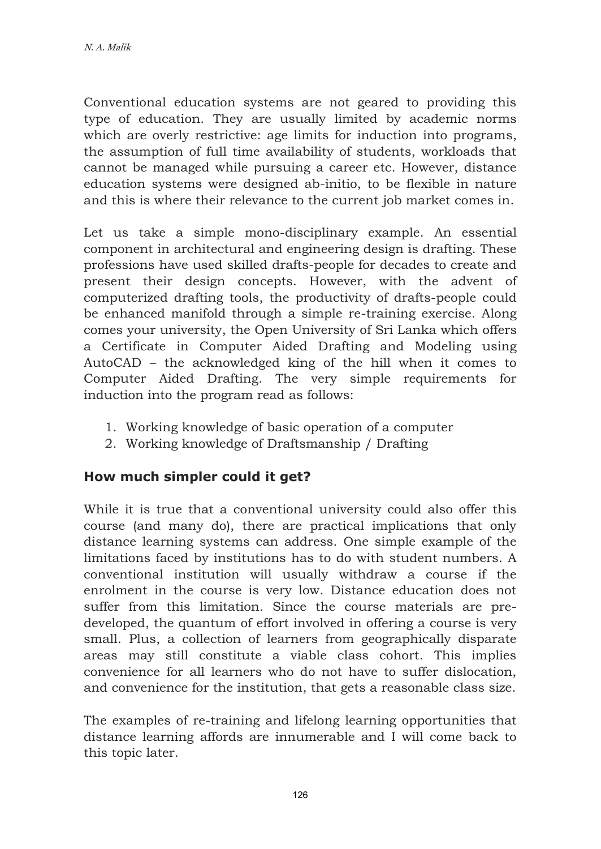Conventional education systems are not geared to providing this type of education. They are usually limited by academic norms which are overly restrictive: age limits for induction into programs, the assumption of full time availability of students, workloads that cannot be managed while pursuing a career etc. However, distance education systems were designed ab-initio, to be flexible in nature and this is where their relevance to the current job market comes in.

Let us take a simple mono-disciplinary example. An essential component in architectural and engineering design is drafting. These professions have used skilled drafts-people for decades to create and present their design concepts. However, with the advent of computerized drafting tools, the productivity of drafts-people could be enhanced manifold through a simple re-training exercise. Along comes your university, the Open University of Sri Lanka which offers a [Certificate in Computer Aided Drafting and Modeling](http://www.ou.ac.lk/home/index.php/faculties-institutes/engineering-technology/mechanical/programmes/464-certificate-in-computer-aided-drafting-and-modelling) using AutoCAD – the acknowledged king of the hill when it comes to Computer Aided Drafting. The very simple requirements for induction into the program read as follows:

- 1. Working knowledge of basic operation of a computer
- 2. Working knowledge of Draftsmanship / Drafting

## **How much simpler could it get?**

While it is true that a conventional university could also offer this course (and many do), there are practical implications that only distance learning systems can address. One simple example of the limitations faced by institutions has to do with student numbers. A conventional institution will usually withdraw a course if the enrolment in the course is very low. Distance education does not suffer from this limitation. Since the course materials are predeveloped, the quantum of effort involved in offering a course is very small. Plus, a collection of learners from geographically disparate areas may still constitute a viable class cohort. This implies convenience for all learners who do not have to suffer dislocation, and convenience for the institution, that gets a reasonable class size.

The examples of re-training and lifelong learning opportunities that distance learning affords are innumerable and I will come back to this topic later.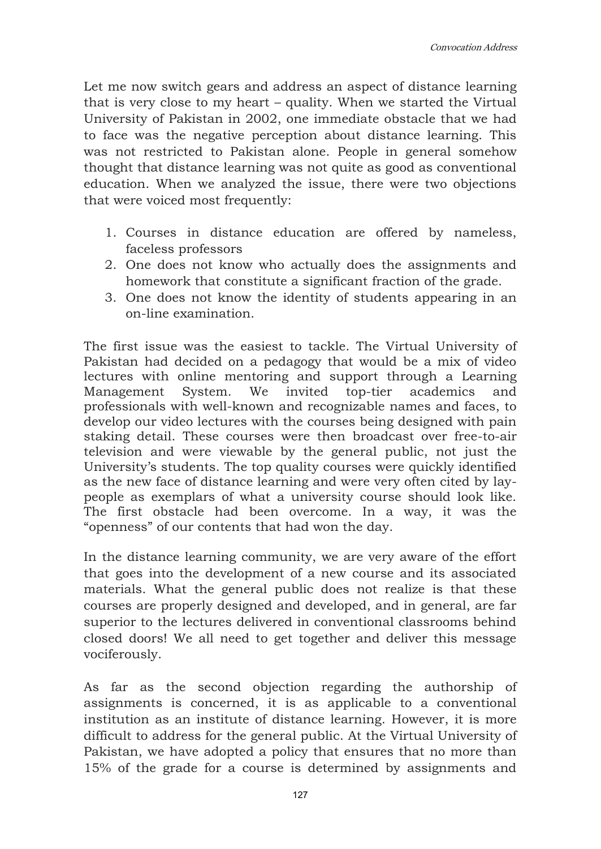Let me now switch gears and address an aspect of distance learning that is very close to my heart – quality. When we started the Virtual University of Pakistan in 2002, one immediate obstacle that we had to face was the negative perception about distance learning. This was not restricted to Pakistan alone. People in general somehow thought that distance learning was not quite as good as conventional education. When we analyzed the issue, there were two objections that were voiced most frequently:

- 1. Courses in distance education are offered by nameless, faceless professors
- 2. One does not know who actually does the assignments and homework that constitute a significant fraction of the grade.
- 3. One does not know the identity of students appearing in an on-line examination.

The first issue was the easiest to tackle. The Virtual University of Pakistan had decided on a pedagogy that would be a mix of video lectures with online mentoring and support through a Learning Management System. We invited top-tier academics and professionals with well-known and recognizable names and faces, to develop our video lectures with the courses being designed with pain staking detail. These courses were then broadcast over free-to-air television and were viewable by the general public, not just the University's students. The top quality courses were quickly identified as the new face of distance learning and were very often cited by laypeople as exemplars of what a university course should look like. The first obstacle had been overcome. In a way, it was the "openness" of our contents that had won the day.

In the distance learning community, we are very aware of the effort that goes into the development of a new course and its associated materials. What the general public does not realize is that these courses are properly designed and developed, and in general, are far superior to the lectures delivered in conventional classrooms behind closed doors! We all need to get together and deliver this message vociferously.

As far as the second objection regarding the authorship of assignments is concerned, it is as applicable to a conventional institution as an institute of distance learning. However, it is more difficult to address for the general public. At the Virtual University of Pakistan, we have adopted a policy that ensures that no more than 15% of the grade for a course is determined by assignments and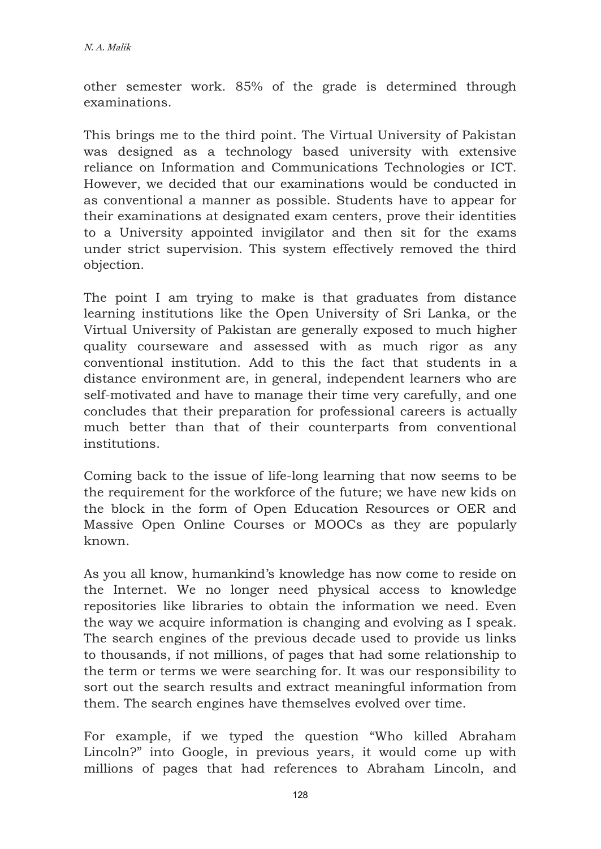other semester work. 85% of the grade is determined through examinations.

This brings me to the third point. The Virtual University of Pakistan was designed as a technology based university with extensive reliance on Information and Communications Technologies or ICT. However, we decided that our examinations would be conducted in as conventional a manner as possible. Students have to appear for their examinations at designated exam centers, prove their identities to a University appointed invigilator and then sit for the exams under strict supervision. This system effectively removed the third objection.

The point I am trying to make is that graduates from distance learning institutions like the Open University of Sri Lanka, or the Virtual University of Pakistan are generally exposed to much higher quality courseware and assessed with as much rigor as any conventional institution. Add to this the fact that students in a distance environment are, in general, independent learners who are self-motivated and have to manage their time very carefully, and one concludes that their preparation for professional careers is actually much better than that of their counterparts from conventional institutions.

Coming back to the issue of life-long learning that now seems to be the requirement for the workforce of the future; we have new kids on the block in the form of Open Education Resources or OER and Massive Open Online Courses or MOOCs as they are popularly known.

As you all know, humankind's knowledge has now come to reside on the Internet. We no longer need physical access to knowledge repositories like libraries to obtain the information we need. Even the way we acquire information is changing and evolving as I speak. The search engines of the previous decade used to provide us links to thousands, if not millions, of pages that had some relationship to the term or terms we were searching for. It was our responsibility to sort out the search results and extract meaningful information from them. The search engines have themselves evolved over time.

For example, if we typed the question "Who killed Abraham Lincoln?" into Google, in previous years, it would come up with millions of pages that had references to Abraham Lincoln, and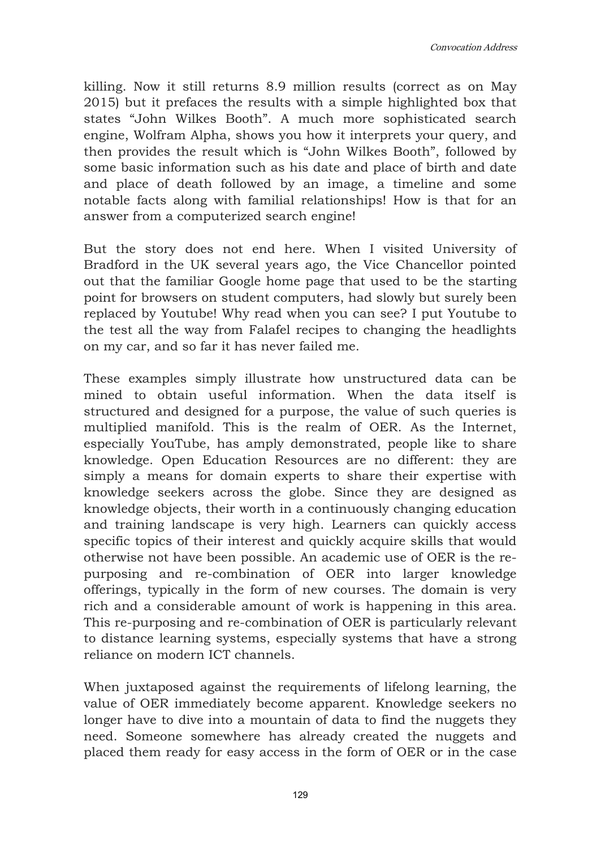Convocation Address

killing. Now it still returns 8.9 million results (correct as on May 2015) but it prefaces the results with a simple highlighted box that states "John Wilkes Booth". A much more sophisticated search engine, Wolfram Alpha, shows you how it interprets your query, and then provides the result which is "John Wilkes Booth", followed by some basic information such as his date and place of birth and date and place of death followed by an image, a timeline and some notable facts along with familial relationships! How is that for an answer from a computerized search engine!

But the story does not end here. When I visited University of Bradford in the UK several years ago, the Vice Chancellor pointed out that the familiar Google home page that used to be the starting point for browsers on student computers, had slowly but surely been replaced by Youtube! Why read when you can see? I put Youtube to the test all the way from Falafel recipes to changing the headlights on my car, and so far it has never failed me.

These examples simply illustrate how unstructured data can be mined to obtain useful information. When the data itself is structured and designed for a purpose, the value of such queries is multiplied manifold. This is the realm of OER. As the Internet, especially YouTube, has amply demonstrated, people like to share knowledge. Open Education Resources are no different: they are simply a means for domain experts to share their expertise with knowledge seekers across the globe. Since they are designed as knowledge objects, their worth in a continuously changing education and training landscape is very high. Learners can quickly access specific topics of their interest and quickly acquire skills that would otherwise not have been possible. An academic use of OER is the repurposing and re-combination of OER into larger knowledge offerings, typically in the form of new courses. The domain is very rich and a considerable amount of work is happening in this area. This re-purposing and re-combination of OER is particularly relevant to distance learning systems, especially systems that have a strong reliance on modern ICT channels.

When juxtaposed against the requirements of lifelong learning, the value of OER immediately become apparent. Knowledge seekers no longer have to dive into a mountain of data to find the nuggets they need. Someone somewhere has already created the nuggets and placed them ready for easy access in the form of OER or in the case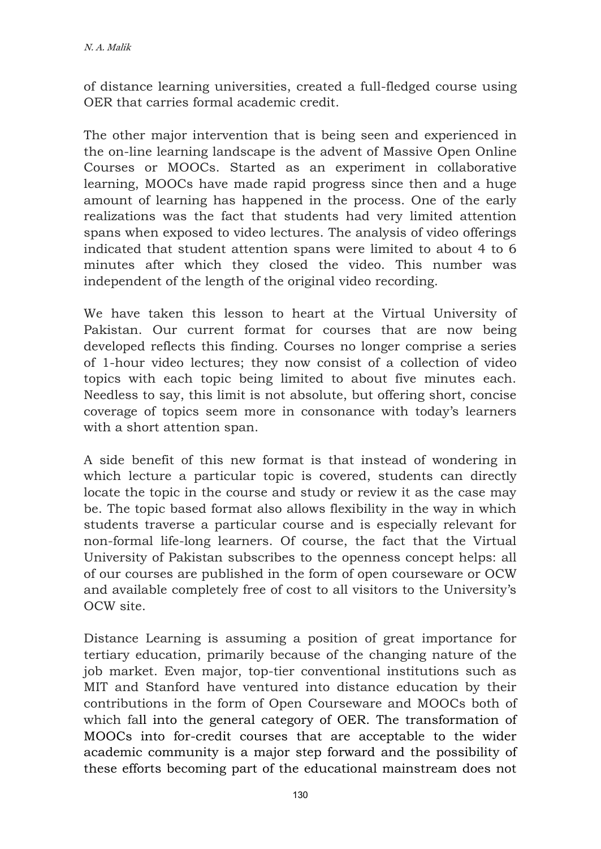of distance learning universities, created a full-fledged course using OER that carries formal academic credit.

The other major intervention that is being seen and experienced in the on-line learning landscape is the advent of Massive Open Online Courses or MOOCs. Started as an experiment in collaborative learning, MOOCs have made rapid progress since then and a huge amount of learning has happened in the process. One of the early realizations was the fact that students had very limited attention spans when exposed to video lectures. The analysis of video offerings indicated that student attention spans were limited to about 4 to 6 minutes after which they closed the video. This number was independent of the length of the original video recording.

We have taken this lesson to heart at the Virtual University of Pakistan. Our current format for courses that are now being developed reflects this finding. Courses no longer comprise a series of 1-hour video lectures; they now consist of a collection of video topics with each topic being limited to about five minutes each. Needless to say, this limit is not absolute, but offering short, concise coverage of topics seem more in consonance with today's learners with a short attention span.

A side benefit of this new format is that instead of wondering in which lecture a particular topic is covered, students can directly locate the topic in the course and study or review it as the case may be. The topic based format also allows flexibility in the way in which students traverse a particular course and is especially relevant for non-formal life-long learners. Of course, the fact that the Virtual University of Pakistan subscribes to the openness concept helps: all of our courses are published in the form of open courseware or OCW and available completely free of cost to all visitors to the University's OCW site.

Distance Learning is assuming a position of great importance for tertiary education, primarily because of the changing nature of the job market. Even major, top-tier conventional institutions such as MIT and Stanford have ventured into distance education by their contributions in the form of Open Courseware and MOOCs both of which fall into the general category of OER. The transformation of MOOCs into for-credit courses that are acceptable to the wider academic community is a major step forward and the possibility of these efforts becoming part of the educational mainstream does not